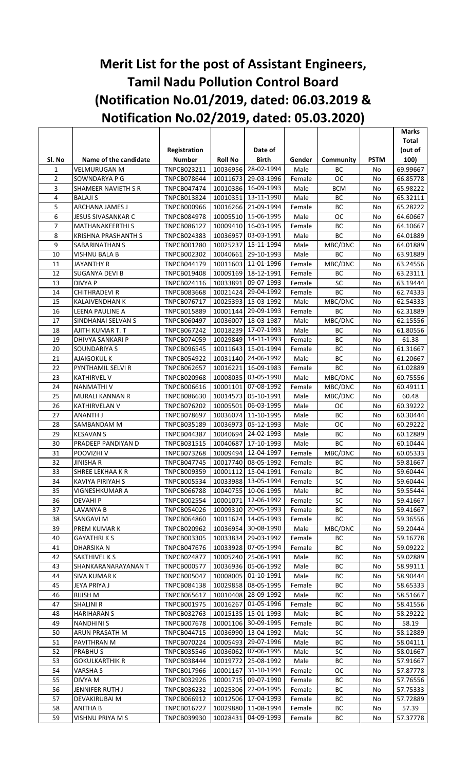## **Merit List for the post of Assistant Engineers, Tamil Nadu Pollution Control Board (Notification No.01/2019, dated: 06.03.2019 & Notification No.02/2019, dated: 05.03.2020)**

|                |                            |                    |                |                     |        |               |               | <b>Marks</b> |
|----------------|----------------------------|--------------------|----------------|---------------------|--------|---------------|---------------|--------------|
|                |                            |                    |                |                     |        |               |               | <b>Total</b> |
|                |                            | Registration       |                | Date of             |        |               |               | (out of      |
| SI. No         | Name of the candidate      | <b>Number</b>      | <b>Roll No</b> | <b>Birth</b>        | Gender | Community     | <b>PSTM</b>   | 100)         |
| $\mathbf{1}$   | VELMURUGAN M               | TNPCB023211        | 10036956       | 28-02-1994          | Male   | <b>BC</b>     | No            | 69.99667     |
| $\overline{2}$ | SOWNDARYA P G              | TNPCB078644        | 10011673       | 29-03-1996          | Female | <b>OC</b>     | No            | 66.85778     |
| 3              | SHAMEER NAVIETH S R        | <b>TNPCB047474</b> |                | 10010386 16-09-1993 | Male   | <b>BCM</b>    | No            | 65.98222     |
| 4              | <b>BALAJI S</b>            | TNPCB013824        |                | 10010351 13-11-1990 | Male   | BC            | No            | 65.32111     |
| 5              | ARCHANA JAMES J            | <b>TNPCB000966</b> |                | 10016266 21-09-1994 | Female | BC            | No            | 65.28222     |
| 6              | JESUS SIVASANKAR C         | <b>TNPCB084978</b> | 10005510       | 15-06-1995          | Male   | OC            | No            | 64.60667     |
| $\overline{7}$ | <b>MATHANAKEERTHIS</b>     | <b>TNPCB086127</b> | 10009410       | 16-03-1995          | Female | BC            | No            | 64.10667     |
| 8              | <b>KRISHNA PRASHANTH S</b> | <b>TNPCB024383</b> | 10036957       | 03-03-1991          | Male   | BC            | No            | 64.01889     |
| 9              | SABARINATHAN S             | TNPCB001280        | 10025237       | 15-11-1994          | Male   | MBC/DNC       | No            | 64.01889     |
| 10             | <b>VISHNU BALA B</b>       | <b>TNPCB002302</b> | 10040661       | 29-10-1993          | Male   | <b>BC</b>     | No            | 63.91889     |
| 11             | <b>JAYANTHY R</b>          | TNPCB044179        |                | 11-01-1996          |        | MBC/DNC       |               |              |
|                |                            |                    | 10011603       |                     | Female |               | No            | 63.24556     |
| 12             | <b>SUGANYA DEVI B</b>      | <b>TNPCB019408</b> | 10009169       | 18-12-1991          | Female | <b>BC</b>     | No            | 63.23111     |
| 13             | <b>DIVYA P</b>             | TNPCB024116        | 10033891       | 09-07-1993          | Female | <b>SC</b>     | No            | 63.19444     |
| 14             | <b>CHITHRADEVI R</b>       | <b>TNPCB083668</b> | 10021424       | 29-04-1992          | Female | BC            | No            | 62.74333     |
| 15             | <b>KALAIVENDHAN K</b>      | <b>TNPCB076717</b> | 10025393       | 15-03-1992          | Male   | MBC/DNC       | No            | 62.54333     |
| 16             | LEENA PAULINE A            | TNPCB015889        | 10001144       | 29-09-1993          | Female | <b>BC</b>     | No            | 62.31889     |
| 17             | SINDHANAI SELVAN S         | TNPCB060497        | 10036007       | 18-03-1987          | Male   | MBC/DNC       | No            | 62.15556     |
| 18             | AJITH KUMAR T. T           | TNPCB067242        | 10018239       | 17-07-1993          | Male   | BC            | No            | 61.80556     |
| 19             | DHIVYA SANKARI P           | TNPCB074059        | 10029849       | 14-11-1993          | Female | BC            | No            | 61.38        |
| 20             | SOUNDARIYA S               | <b>TNPCB096545</b> | 10011643       | 15-01-1994          | Female | BC            | No            | 61.31667     |
| 21             | <b>AJAIGOKUL K</b>         | <b>TNPCB054922</b> | 10031140       | 24-06-1992          | Male   | BC            | No            | 61.20667     |
| 22             | PYNTHAMIL SELVI R          | <b>TNPCB062657</b> | 10016221       | 16-09-1983          | Female | BC            | No            | 61.02889     |
| 23             | <b>KATHIRVEL V</b>         | <b>TNPCB020968</b> | 10008035       | 03-05-1990          | Male   | MBC/DNC       | No            | 60.75556     |
| 24             | NANMATHI V                 | <b>TNPCB006616</b> | 10001101       | 07-08-1992          | Female | MBC/DNC       | No            | 60.49111     |
| 25             | MURALI KANNAN R            | TNPCB086630        | 10014573       | 05-10-1991          | Male   | MBC/DNC       | No            | 60.48        |
| 26             | <b>KATHIRVELAN V</b>       | <b>TNPCB076202</b> | 10005501       | 06-03-1995          | Male   | ОC            | No            | 60.39222     |
| 27             | <b>ANANTH J</b>            | <b>TNPCB078697</b> | 10036074       | 11-10-1995          | Male   | BC            | No            | 60.30444     |
| 28             | SAMBANDAM M                | <b>TNPCB035189</b> | 10036973       | 05-12-1993          | Male   | OC            | No            | 60.29222     |
| 29             | <b>KESAVAN S</b>           | <b>TNPCB044387</b> | 10040694       | 24-02-1993          | Male   | BC            | No            | 60.12889     |
| 30             | PRADEEP PANDIYAN D         | TNPCB031515        | 10040687       | 17-10-1993          | Male   | <b>BC</b>     | No            | 60.10444     |
| 31             | POOVIZHI V                 | <b>TNPCB073268</b> | 10009494       | 12-04-1997          | Female | MBC/DNC       | No            | 60.05333     |
| 32             | <b>JINISHA R</b>           | <b>TNPCB047745</b> |                | 10017740 08-05-1992 | Female | ВC            | No            | 59.81667     |
| 33             | SHREE LEKHAA K R           | TNPCB009359        |                | 10001112 15-04-1991 | Female | $\mathsf{BC}$ | $\mathsf{No}$ | 59.60444     |
| 34             | KAVIYA PIRIYAH S           | <b>TNPCB005534</b> |                | 10033988 13-05-1994 | Female | <b>SC</b>     | No            | 59.60444     |
| 35             | VIGNESHKUMAR A             | <b>TNPCB066788</b> |                | 10040755 10-06-1995 | Male   | BC            | No            | 59.55444     |
| 36             | <b>DEVAHIP</b>             | <b>TNPCB002554</b> |                | 10001071 12-06-1992 | Female | ${\sf SC}$    | No            | 59.41667     |
| 37             | LAVANYA B                  | <b>TNPCB054026</b> | 10009310       | 20-05-1993          | Female | BC            | No            | 59.41667     |
|                |                            |                    |                |                     |        |               |               |              |
| 38             | SANGAVI M                  | <b>TNPCB064860</b> | 10011624       | 14-05-1993          | Female | BC            | No            | 59.36556     |
| 39             | PREM KUMAR K               | <b>TNPCB020962</b> | 10036954       | 30-08-1990          | Male   | MBC/DNC       | No            | 59.20444     |
| 40             | GAYATHRI K S               | <b>TNPCB003305</b> | 10033834       | 29-03-1992          | Female | BC            | No            | 59.16778     |
| 41             | DHARSIKA N                 | TNPCB047676        | 10033928       | 07-05-1994          | Female | BC            | No            | 59.09222     |
| 42             | SAKTHIVEL K S              | <b>TNPCB024877</b> | 10005240       | 25-06-1991          | Male   | BC            | No            | 59.02889     |
| 43             | SHANKARANARAYANAN T        | <b>TNPCB000577</b> | 10036936       | 05-06-1992          | Male   | BC            | No            | 58.99111     |
| 44             | <b>SIVA KUMAR K</b>        | <b>TNPCB005047</b> | 10008005       | 01-10-1991          | Male   | BC            | No            | 58.90444     |
| 45             | <b>JEYA PRIYA J</b>        | TNPCB084138        | 10029858       | 08-05-1995          | Female | BC            | No            | 58.65333     |
| 46             | <b>RIJISH M</b>            | <b>TNPCB065617</b> |                | 10010408 28-09-1992 | Male   | BC            | No            | 58.51667     |
| 47             | <b>SHALINI R</b>           | TNPCB001975        | 10016267       | 01-05-1996          | Female | BC            | No            | 58.41556     |
| 48             | <b>HARIHARAN S</b>         | TNPCB032763        | 10015135       | 15-01-1993          | Male   | BC            | No            | 58.29222     |
| 49             | <b>NANDHINI S</b>          | <b>TNPCB007678</b> |                | 10001106 30-09-1995 | Female | BC            | No            | 58.19        |
| 50             | ARUN PRASATH M             | <b>TNPCB044715</b> | 10036990       | 13-04-1992          | Male   | SC            | No            | 58.12889     |
| 51             | PAVITHRAN M                | <b>TNPCB070224</b> | 10005493       | 29-07-1996          | Male   | BC            | No            | 58.04111     |
| 52             | <b>PRABHUS</b>             | <b>TNPCB035546</b> | 10036062       | 07-06-1995          | Male   | SC            | No            | 58.01667     |
| 53             | <b>GOKULKARTHIK R</b>      | <b>TNPCB038444</b> | 10019772       | 25-08-1992          | Male   | ВC            | No            | 57.91667     |
| 54             | VARSHA S                   | <b>TNPCB017966</b> | 10001167       | 31-10-1994          | Female | ОC            | No            | 57.87778     |
| 55             | DIVYA M                    | <b>TNPCB032926</b> | 10001715       | 09-07-1990          | Female | BC            | No            | 57.76556     |
| 56             | JENNIFER RUTH J            | <b>TNPCB036232</b> | 10025306       | 22-04-1995          | Female | BC            | No            | 57.75333     |
| 57             | DEVAKIRUBAI M              | <b>TNPCB066912</b> |                | 10012506 17-04-1993 | Female | BC            | No            | 57.72889     |
| 58             | ANITHA B                   | <b>TNPCB016727</b> | 10029880       | 11-08-1994          | Female | BC            | No            | 57.39        |
| 59             | VISHNU PRIYA M S           | <b>TNPCB039930</b> | 10028431       | 04-09-1993          | Female | BC            | No            | 57.37778     |
|                |                            |                    |                |                     |        |               |               |              |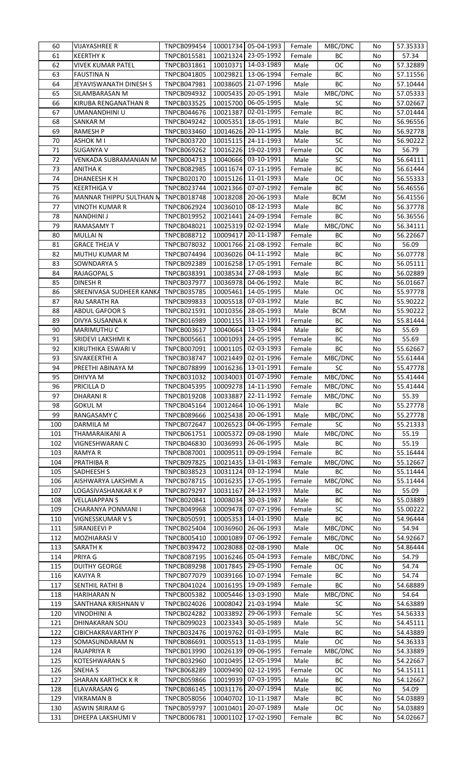| 60         | VIJAYASHREE R                       | <b>TNPCB099454</b>                |          | 10001734 05-04-1993               | Female         | MBC/DNC    | No       | 57.35333             |
|------------|-------------------------------------|-----------------------------------|----------|-----------------------------------|----------------|------------|----------|----------------------|
| 61         | KEERTHY K                           | TNPCB015581                       | 10021324 | 23-05-1992                        | Female         | BC         | No       | 57.34                |
| 62         | <b>VIVEK KUMAR PATEL</b>            | TNPCB031861                       | 10010371 | 14-03-1989                        | Male           | OC         | No       | 57.32889             |
| 63         | FAUSTINA N                          | <b>TNPCB041805</b>                | 10029821 | 13-06-1994                        | Female         | BC         | No       | 57.11556             |
| 64         | JEYAVISWANATH DINESH S              | TNPCB047981                       | 10038605 | 21-07-1996                        | Male           | BC         | No       | 57.10444             |
| 65         | SILAMBARASAN M                      | TNPCB094932                       | 10005435 | 20-05-1991                        | Male           | MBC/DNC    | No       | 57.05333             |
| 66         | KIRUBA RENGANATHAN R                | <b>TNPCB033525</b>                | 10015700 | 06-05-1995                        | Male           | SC         | No       | 57.02667             |
| 67         | UMANANDHINI U                       | <b>TNPCB044676</b>                | 10021387 | 02-01-1995                        | Female         | BC         | No       | 57.01444             |
| 68         | <b>SANKAR M</b>                     | <b>TNPCB049242</b>                | 10005351 | 18-05-1991                        | Male           | ВC         | No       | 56.96556             |
| 69         | RAMESH P                            | TNPCB033460                       | 10014626 | 20-11-1995                        | Male           | ВC         | No       | 56.92778             |
| 70         | ASHOK M I                           | TNPCB003720                       | 10015115 | 24-11-1993                        | Male           | SC         | No       | 56.90222             |
| 71         |                                     |                                   |          | 19-02-1993                        |                | ОC         |          |                      |
|            | SUGANYA V                           | <b>TNPCB069262</b>                | 10016226 |                                   | Female         |            | No       | 56.79                |
| 72         | VENKADA SUBRAMANIAN M               | TNPCB004713                       | 10040666 | 03-10-1991                        | Male           | SC         | No       | 56.64111             |
| 73         | ANITHA K                            | <b>TNPCB082985</b>                | 10011674 | 07-11-1995                        | Female         | ВC         | No       | 56.61444             |
| 74         | DHANEESH K H                        | <b>TNPCB020170</b>                |          | 10015126 11-01-1993               | Male           | ОC         | No       | 56.55333             |
| 75         | KEERTHIGA V                         | TNPCB023744                       | 10021366 | 07-07-1992                        | Female         | ВC         | No       | 56.46556             |
| 76         | MANNAR THIPPU SULTHAN N             | <b>TNPCB018748</b>                | 10018208 | 20-06-1993                        | Male           | <b>BCM</b> | No       | 56.41556             |
| 77         | VINOTH KUMAR R                      | <b>TNPCB062924</b>                | 10036010 | 08-12-1993                        | Male           | BC         | No       | 56.37778             |
| 78         | <b>NANDHINI J</b>                   | <b>TNPCB019952</b>                | 10021441 | 24-09-1994                        | Female         | BC         | No       | 56.36556             |
| 79         | RAMASAMY T                          | <b>TNPCB048021</b>                | 10025319 | 02-02-1994                        | Male           | MBC/DNC    | No       | 56.34111             |
| 80         | <b>MULLAIN</b>                      | <b>TNPCB088712</b>                | 10009417 | 20-11-1987                        | Female         | BC         | No       | 56.22667             |
| 81         | <b>GRACE THEJA V</b>                | <b>TNPCB078032</b>                | 10001766 | 21-08-1992                        | Female         | ВC         | No       | 56.09                |
| 82         | MUTHU KUMAR M                       | TNPCB074494                       | 10036026 | 04-11-1992                        | Male           | ВC         | No       | 56.07778             |
| 83         | SOWNDARYA S                         | <b>TNPCB092389</b>                | 10016258 | 17-05-1991                        | Female         | ВC         | No       | 56.05111             |
| 84         | RAJAGOPAL S                         | TNPCB038391                       | 10038534 | 27-08-1993                        | Male           | ВC         | No       | 56.02889             |
| 85         | DINESH R                            | TNPCB037977                       | 10036978 | 04-06-1992                        | Male           | ВC         | No       | 56.01667             |
| 86         | SREENIVASA SUDHEER KANKA            | <b>TNPCB035785</b>                | 10005461 | 14-05-1995                        | Male           | OC         | No       | 55.97778             |
| 87         | RAJ SARATH RA                       | <b>TNPCB099833</b>                | 10005518 | 07-03-1992                        | Male           | BC         | No       | 55.90222             |
| 88         | <b>ABDUL GAFOOR S</b>               | TNPCB021591                       | 10010356 | 28-05-1993                        | Male           | <b>BCM</b> | No       | 55.90222             |
| 89         | DIVYA SUSANNA K                     | <b>TNPCB016989</b>                | 10001155 | 31-12-1991                        | Female         | ВC         | No       | 55.81444             |
| 90         |                                     |                                   |          | 13-05-1984                        |                |            |          |                      |
|            | MARIMUTHU C                         | TNPCB003617                       | 10040664 |                                   | Male           | ВC         | No       | 55.69                |
| 91         | SRIDEVI LAKSHMI K                   | <b>TNPCB005661</b>                | 10001093 | 24-05-1995                        | Female         | ВC         | No       | 55.69                |
| 92         | KIRUTHIKA ESWARI V                  | TNPCB007091                       | 10001105 | 02-03-1993                        | Female         | BC         | No       | 55.62667             |
| 93         | SIVAKEERTHI A                       | <b>TNPCB038747</b>                | 10021449 | 02-01-1996                        | Female         | MBC/DNC    | No       | 55.61444             |
| 94         | PREETHI ABINAYA M                   | <b>TNPCB078899</b>                | 10016236 | 13-01-1991                        | Female         | SC         | No       | 55.47778             |
| 95         | DHIVYA M                            | TNPCB031032                       | 10034003 | 01-07-1990                        | Female         | MBC/DNC    | No       | 55.41444             |
| 96         | PRICILLA D                          | <b>TNPCB045395</b>                |          | 10009278 14-11-1990               | Female         | MBC/DNC    | No       | 55.41444             |
| 97         | DHARANI R                           | TNPCB019208                       | 10033887 | 22-11-1992                        | Female         | MBC/DNC    | No       | 55.39                |
| 98         | <b>GOKUL M</b>                      | TNPCB045164                       | 10012464 | 10-06-1991                        | Male           | BC         | No       | 55.27778             |
| 99         | RANGASAMY C                         | <b>TNPCB089666</b>                | 10025438 | 20-06-1991                        | Male           | MBC/DNC    | No       | 55.27778             |
| 100        | DARMILA M                           | <b>TNPCB072647</b>                | 10026523 | 04-06-1995                        | Female         | <b>SC</b>  | No       | 55.21333             |
| 101        | THAMARAIKANI A                      | TNPCB061751                       | 10005372 | 09-08-1990                        | Male           | MBC/DNC    | No       | 55.19                |
| 102        | VIGNESHWARAN C                      | <b>TNPCB046830</b>                | 10036993 | 26-06-1995                        | Male           | BC         | No       | 55.19                |
| 103        | RAMYA R                             | <b>TNPCB087001</b>                | 10009511 | 09-09-1994                        | Female         | BC         | No       | 55.16444             |
| 104        | PRATHIBA R                          | <b>TNPCB097825</b>                | 10021435 | 13-01-1983                        | Female         | MBC/DNC    | No       | 55.12667             |
| 105        | SADHEESH S                          | <b>TNPCB038523</b>                | 10031124 | 03-12-1994                        | Male           | BC         | No       | 55.11444             |
| 106        | AISHWARYA LAKSHMI A                 | TNPCB078715                       | 10016235 | 17-05-1995                        | Female         | MBC/DNC    | No       | 55.11444             |
| 107        | LOGASIVASHANKAR K P                 | <b>TNPCB079297</b>                | 10031167 | 24-12-1993                        | Male           | BC         | No       | 55.09                |
| 108        | <b>VELLAIAPPANS</b>                 | TNPCB020841                       | 10008034 | 30-03-1987                        | Male           | ВC         | No       |                      |
|            |                                     |                                   |          |                                   |                |            |          | 55.03889             |
| 109        | CHARANYA PONMANI I                  | <b>TNPCB049968</b>                | 10009478 | 07-07-1996                        | Female         | SC         | No       | 55.00222             |
| 110        | VIGNESSKUMAR V S                    | <b>TNPCB050591</b>                | 10005353 | 14-01-1990                        | Male           | ВC         | No       | 54.96444             |
| 111        | SIRANJEEVI P                        | <b>TNPCB025404</b>                | 10036960 | 26-06-1993                        | Male           | MBC/DNC    | No       | 54.94                |
| 112        | MOZHIARASI V                        | TNPCB005410                       | 10001089 | 07-06-1992                        | Female         | MBC/DNC    | No       | 54.92667             |
| 113        | SARATH K                            | TNPCB039472                       | 10028088 | 02-08-1990                        | Male           | ОC         | No       | 54.86444             |
| 114        | PRIYA G                             | <b>TNPCB087195</b>                | 10016246 | 05-04-1993                        | Female         | MBC/DNC    | No       | 54.79                |
| 115        | <b>DUITHY GEORGE</b>                | TNPCB089298                       | 10017845 | 29-05-1990                        | Female         | ОC         | No       | 54.74                |
| 116        | <b>KAVIYA R</b>                     | TNPCB077079                       | 10039166 | 10-07-1994                        | Female         | ВC         | No       | 54.74                |
| 117        | SENTHIL RATHI B                     | TNPCB041024                       | 10016195 | 19-09-1989                        | Female         | ВC         | No       | 54.68889             |
| 118        | HARIHARAN N                         | <b>TNPCB005382</b>                | 10005446 | 13-03-1990                        | Male           | MBC/DNC    | No       | 54.64                |
| 119        | SANTHANA KRISHNAN V                 | <b>TNPCB024026</b>                | 10008042 | 21-03-1994                        | Male           | <b>SC</b>  | No       | 54.63889             |
| 120        | VINODHINI A                         | <b>TNPCB024282</b>                | 10033892 | 29-06-1993                        | Female         | SC         | Yes      | 54.56333             |
| 121        | DHINAKARAN SOU                      | <b>TNPCB099023</b>                | 10023343 | 30-05-1989                        | Male           | SC         | No       | 54.45111             |
| 122        | CIBICHAKRAVARTHY P                  | <b>TNPCB032476</b>                | 10019762 | 01-03-1995                        | Male           | ВC         | No       | 54.43889             |
| 123        | SOMASUNDARAM N                      | <b>TNPCB086691</b>                | 10005513 | 11-03-1995                        | Male           | ОC         | No       | 54.36333             |
| 124        | RAJAPRIYA R                         | TNPCB013990                       | 10026139 | 09-06-1995                        | Female         | MBC/DNC    | No       | 54.33889             |
| 125        | KOTESHWARAN S                       | <b>TNPCB032960</b>                | 10010495 | 12-05-1994                        | Male           | ВC         | No       | 54.22667             |
| 126        | SNEHA S                             | <b>TNPCB068289</b>                | 10009490 | 02-12-1995                        | Female         | OC         | No       | 54.15111             |
| 127        | SHARAN KARTHCK K R                  | <b>TNPCB059866</b>                | 10019939 | 07-03-1995                        | Male           | ВC         | No       | 54.12667             |
| 128        | ELAVARASAN G                        | <b>TNPCB086145</b>                | 10031176 | 20-07-1994                        | Male           | ВC         | No       | 54.09                |
| 129        |                                     |                                   |          |                                   |                |            |          |                      |
|            |                                     |                                   |          |                                   |                |            |          |                      |
|            | VIKRAMAN B                          | <b>TNPCB058056</b>                | 10040702 | 10-11-1987                        | Male           | ВC         | No       | 54.03889             |
| 130<br>131 | ASWIN SRIRAM G<br>DHEEPA LAKSHUMI V | <b>TNPCB059797</b><br>TNPCB006781 | 10010401 | 20-07-1989<br>10001102 17-02-1990 | Male<br>Female | OC<br>ВC   | No<br>No | 54.03889<br>54.02667 |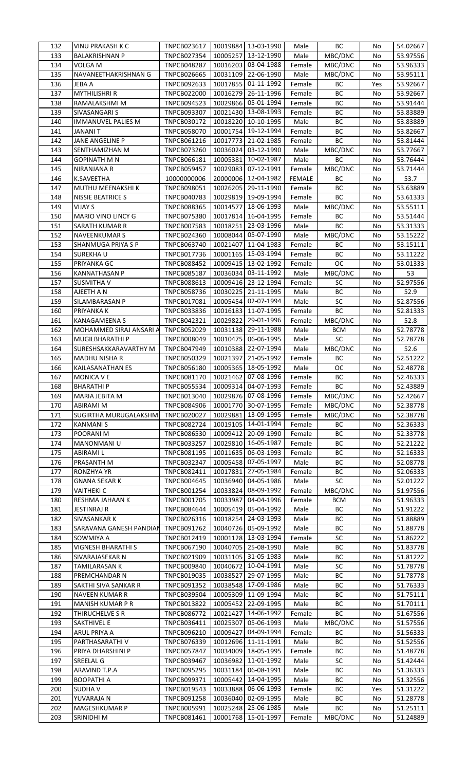| 132 | VINU PRAKASH K C        | <b>TNPCB023617</b> |          | 10019884 13-03-1990   | Male          | BC         | No  | 54.02667 |
|-----|-------------------------|--------------------|----------|-----------------------|---------------|------------|-----|----------|
| 133 | <b>BALAKRISHNAN P</b>   | <b>TNPCB027354</b> | 10005257 | 13-12-1990            | Male          | MBC/DNC    | No  | 53.97556 |
|     |                         |                    |          | 10016203 03-04-1988   |               |            |     | 53.96333 |
| 134 | VOLGA M                 | <b>TNPCB048287</b> |          |                       | Female        | MBC/DNC    | No  |          |
| 135 | NAVANEETHAKRISHNAN G    | <b>TNPCB026665</b> | 10031109 | 22-06-1990            | Male          | MBC/DNC    | No  | 53.95111 |
| 136 | JEBA A                  | <b>TNPCB092633</b> | 10017855 | 01-11-1992            | Female        | BC         | Yes | 53.92667 |
| 137 | <b>MYTHILISHRI R</b>    | <b>TNPCB022000</b> | 10016279 | 26-11-1996            | Female        | ВC         | No  | 53.92667 |
| 138 | RAMALAKSHMI M           | <b>TNPCB094523</b> |          | 10029866 05-01-1994   | Female        | ВC         | No  | 53.91444 |
|     |                         |                    |          |                       |               |            |     |          |
| 139 | SIVASANGARI S           | <b>TNPCB093307</b> |          | 10021430 13-08-1993   | Female        | ВC         | No  | 53.83889 |
| 140 | IMMANUVEL PALIES M      | TNPCB030172        | 10018220 | 10-10-1995            | Male          | ВC         | No  | 53.83889 |
| 141 | JANANI T                | <b>TNPCB058070</b> |          | 10001754 19-12-1994   | Female        | ВC         | No  | 53.82667 |
| 142 | JANE ANGELINE P         | TNPCB061216        | 10017773 | 21-02-1985            | Female        | ВC         | No  | 53.81444 |
| 143 | SENTHAMIZHAN M          | <b>TNPCB073260</b> | 10036024 | 03-12-1990            | Male          | MBC/DNC    | No  | 53.77667 |
|     |                         |                    |          |                       |               |            |     |          |
| 144 | GOPINATH M N            | <b>TNPCB066181</b> | 10005381 | 10-02-1987            | Male          | BC         | No  | 53.76444 |
| 145 | NIRANJANA R             | <b>TNPCB059457</b> | 10029083 | 07-12-1991            | Female        | MBC/DNC    | No  | 53.71444 |
| 146 | K.SAVEETHA              | 10000000006        |          | 20000006 12-04-1982   | <b>FEMALE</b> | BC         | No  | 53.7     |
| 147 | MUTHU MEENAKSHI K       | <b>TNPCB098051</b> |          | 10026205 29-11-1990   | Female        | ВC         | No  | 53.63889 |
| 148 | NISSIE BEATRICE S       | <b>TNPCB040783</b> |          | 10029819 19-09-1994   | Female        | ВC         | No  | 53.61333 |
|     |                         |                    |          |                       |               |            |     |          |
| 149 | <b>VIJAY S</b>          | <b>TNPCB088365</b> | 10014577 | 18-06-1993            | Male          | MBC/DNC    | No  | 53.55111 |
| 150 | MARIO VINO LINCY G      | <b>TNPCB075380</b> | 10017814 | 16-04-1995            | Female        | BC         | No  | 53.51444 |
| 151 | SARATH KUMAR R          | <b>TNPCB007583</b> | 10018251 | 23-03-1996            | Male          | BC         | No  | 53.31333 |
| 152 | <b>NAVEENKUMAR S</b>    | <b>TNPCB024360</b> | 10008044 | 05-07-1990            | Male          | MBC/DNC    | No  | 53.15222 |
| 153 | SHANMUGA PRIYA S P      | <b>TNPCB063740</b> | 10021407 | 11-04-1983            | Female        | BC         | No  |          |
|     |                         |                    |          |                       |               |            |     | 53.15111 |
| 154 | SUREKHAU                | TNPCB017736        |          | 10001165 15-03-1994   | Female        | BC         | No  | 53.11222 |
| 155 | PRIYANKA GC             | <b>TNPCB088452</b> |          | 10009415 13-02-1992   | Female        | OC         | No  | 53.01333 |
| 156 | <b>KANNATHASAN P</b>    | <b>TNPCB085187</b> |          | 10036034 03-11-1992   | Male          | MBC/DNC    | No  | 53       |
| 157 | <b>SUSMITHAV</b>        | <b>TNPCB088613</b> |          | 10009416 23-12-1994   | Female        | SC         | No  | 52.97556 |
| 158 | AJEETH A N              | <b>TNPCB058736</b> | 10030225 | 21-11-1995            |               | ВC         | No  | 52.9     |
|     |                         |                    |          |                       | Male          |            |     |          |
| 159 | SILAMBARASAN P          | TNPCB017081        |          | 10005454 02-07-1994   | Male          | SC         | No  | 52.87556 |
| 160 | PRIYANKA K              | TNPCB033836        | 10016183 | 11-07-1995            | Female        | BC         | No  | 52.81333 |
| 161 | KANAGAMEENA S           | TNPCB042321        | 10029822 | 29-01-1996            | Female        | MBC/DNC    | No  | 52.8     |
| 162 | MOHAMMED SIRAJ ANSARI A | <b>TNPCB052029</b> |          | 10031138 29-11-1988   | Male          | <b>BCM</b> | No  | 52.78778 |
|     |                         |                    |          |                       |               | SC         |     |          |
| 163 | MUGILBHARATHI P         | <b>TNPCB008049</b> |          | 10010475 06-06-1995   | Male          |            | No  | 52.78778 |
| 164 | SURESHSAKKARAVARTHY M   | <b>TNPCB047949</b> |          | 10010388 22-07-1994   | Male          | MBC/DNC    | No  | 52.6     |
| 165 | <b>MADHU NISHA R</b>    | <b>TNPCB050329</b> | 10021397 | 21-05-1992            | Female        | ВC         | No  | 52.51222 |
| 166 | KAILASANATHAN ES        | <b>TNPCB056180</b> | 10005365 | 18-05-1992            | Male          | OC         | No  | 52.48778 |
| 167 | <b>MONICA V E</b>       | TNPCB081170        | 10021462 | 07-08-1996            | Female        | ВC         | No  | 52.46333 |
|     |                         |                    |          | 10009314   04-07-1993 | Female        | BС         | No  | 52.43889 |
| 168 | BHARATHI P              | TNPCB055534        |          |                       |               |            |     |          |
|     |                         |                    |          |                       |               |            |     |          |
| 169 | MARIA JEBITA M          | TNPCB013040        |          | 10029876 07-08-1996   | Female        | MBC/DNC    | No  | 52.42667 |
| 170 | <b>ABIRAMI M</b>        | <b>TNPCB084906</b> | 10001770 | 30-07-1995            | Female        | MBC/DNC    | No  | 52.38778 |
| 171 | SUGIRTHA MURUGALAKSHM   |                    |          | 13-09-1995            | Female        |            | No  |          |
|     |                         | TNPCB020027        | 10029881 |                       |               | MBC/DNC    |     | 52.38778 |
| 172 | <b>KANMANI S</b>        | <b>TNPCB082724</b> |          | 10019105 14-01-1994   | Female        | BС         | No  | 52.36333 |
| 173 | POORANI M               | <b>TNPCB086530</b> | 10009412 | 20-09-1990            | Female        | ВC         | No  | 52.33778 |
| 174 | MANONMANI U             | <b>TNPCB033257</b> | 10029810 | 16-05-1987            | Female        | ВC         | No  | 52.21222 |
| 175 | ABIRAMI L               | TNPCB081195        | 10011635 | 06-03-1993            | Female        | ВC         | No  | 52.16333 |
| 176 | PRASANTH M              | TNPCB032347        |          |                       | Male          | BC         | No  | 52.08778 |
|     |                         |                    |          | 10005458 07-05-1997   |               |            |     |          |
| 177 | <b>RONZHYA YR</b>       | TNPCB082411        | 10017831 | 27-05-1984            | Female        | BC         | No  | 52.06333 |
| 178 | <b>GNANA SEKAR K</b>    | <b>TNPCB004645</b> | 10036940 | 04-05-1986            | Male          | SC         | No  | 52.01222 |
| 179 | <b>VAITHEKI C</b>       | TNPCB001254        | 10033824 | 08-09-1992            | Female        | MBC/DNC    | No  | 51.97556 |
| 180 | RESHMA JAHAAN K         | TNPCB001705        | 10033987 | 04-04-1996            | Female        | <b>BCM</b> | No  | 51.96333 |
| 181 | JESTINRAJ R             | <b>TNPCB084644</b> | 10005419 | 05-04-1992            | Male          | ВC         | No  | 51.91222 |
|     |                         |                    |          |                       |               |            |     |          |
| 182 | SIVASANKAR K            | TNPCB026316        | 10018254 | 24-03-1993            | Male          | ВC         | No  | 51.88889 |
| 183 | SARAVANA GANESH PANDIAN | TNPCB091762        |          | 10040726 05-09-1992   | Male          | ВC         | No  | 51.88778 |
| 184 | SOWMIYA A               | TNPCB012419        |          | 10001128 13-03-1994   | Female        | <b>SC</b>  | No  | 51.86222 |
| 185 | VIGNESH BHARATHI S      | TNPCB067190        | 10040705 | 25-08-1990            | Male          | BC         | No  | 51.83778 |
| 186 | SIVARAJASEKAR N         | TNPCB021909        | 10031105 | 31-05-1983            | Male          | BC         | No  | 51.81222 |
| 187 | TAMILARASAN K           |                    |          | 10-04-1991            |               |            | No  |          |
|     |                         | <b>TNPCB009840</b> | 10040672 |                       | Male          | SC         |     | 51.78778 |
| 188 | PREMCHANDAR N           | TNPCB019035        | 10038527 | 29-07-1995            | Male          | BC         | No  | 51.78778 |
| 189 | SAKTHI SIVA SANKAR R    | TNPCB091352        |          | 10038548 17-09-1986   | Male          | ВC         | No  | 51.76333 |
| 190 | <b>NAVEEN KUMAR R</b>   | <b>TNPCB039504</b> | 10005309 | 11-09-1994            | Male          | ВC         | No  | 51.75111 |
| 191 | MANISH KUMAR P R        | TNPCB013822        | 10005452 | 22-09-1995            | Male          | ВC         | No  | 51.70111 |
| 192 | THIRUCHELVE S R         | <b>TNPCB086772</b> | 10021427 | 14-06-1992            | Female        | BC         | No  | 51.67556 |
|     |                         |                    |          |                       |               |            |     |          |
| 193 | <b>SAKTHIVEL E</b>      | TNPCB036411        | 10025307 | 05-06-1993            | Male          | MBC/DNC    | No  | 51.57556 |
| 194 | ARUL PRIYA A            | <b>TNPCB096210</b> | 10009427 | 04-09-1994            | Female        | BC         | No  | 51.56333 |
| 195 | PARTHASARATHI V         | TNPCB076339        |          | 10012696 11-11-1991   | Male          | BC         | No  | 51.52556 |
| 196 | PRIYA DHARSHINI P       | <b>TNPCB057847</b> | 10034009 | 18-05-1995            | Female        | ВC         | No  | 51.48778 |
| 197 | SREELAL G               | <b>TNPCB039467</b> | 10036982 | 11-01-1992            | Male          |            | No  | 51.42444 |
|     |                         |                    |          |                       |               | SC         |     |          |
| 198 | ARAVIND T.P.A           | <b>TNPCB095295</b> | 10031184 | 06-08-1991            | Male          | ВC         | No  | 51.36333 |
| 199 | <b>BOOPATHI A</b>       | TNPCB099371        | 10005442 | 14-04-1995            | Male          | ВC         | No  | 51.32556 |
| 200 | SUDHA V                 | TNPCB019543        | 10033888 | 06-06-1993            | Female        | BC         | Yes | 51.31222 |
| 201 | YUVARAJA N              | <b>TNPCB091258</b> | 10036040 | 02-09-1995            | Male          | BС         | No  | 51.28778 |
| 202 | MAGESHKUMAR P           | <b>TNPCB005991</b> | 10025248 | 25-06-1985            | Male          | BC         | No  | 51.25111 |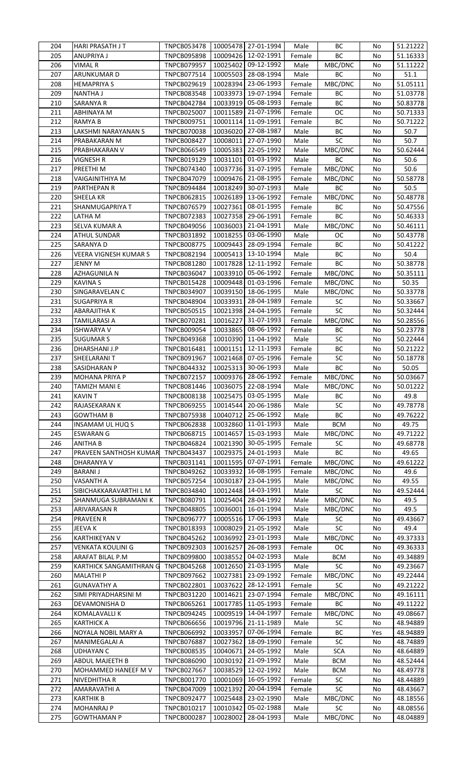| 204 | HARI PRASATH JT         | <b>TNPCB053478</b> |          | 10005478 27-01-1994 | Male   | BС         | No  | 51.21222 |
|-----|-------------------------|--------------------|----------|---------------------|--------|------------|-----|----------|
| 205 | ANUPRIYA J              | <b>TNPCB095898</b> |          | 10009426 12-02-1991 | Female | BC         | No  | 51.16333 |
|     |                         |                    |          |                     |        |            |     |          |
| 206 | VIMAL R                 | <b>TNPCB079957</b> |          | 10025402 09-12-1992 | Male   | MBC/DNC    | No  | 51.11222 |
| 207 | ARUNKUMAR D             | TNPCB077514        |          | 10005503 28-08-1994 | Male   | BC         | No  | 51.1     |
| 208 | <b>HEMAPRIYA S</b>      | <b>TNPCB029619</b> | 10028394 | 23-06-1993          | Female | MBC/DNC    | No  | 51.05111 |
| 209 | <b>NANTHA J</b>         | TNPCB083548        | 10033973 | 19-07-1994          | Female | BC         | No  | 51.03778 |
| 210 | <b>SARANYA R</b>        | <b>TNPCB042784</b> |          | 10033919 05-08-1993 | Female | BC         | No  | 50.83778 |
|     |                         |                    |          |                     |        |            |     |          |
| 211 | <b>ABHINAYA M</b>       | <b>TNPCB025007</b> |          | 10011589 21-07-1996 | Female | OC         | No  | 50.71333 |
| 212 | <b>RAMYA B</b>          | TNPCB009751        |          | 10001114 11-09-1991 | Female | BC         | No  | 50.71222 |
| 213 | LAKSHMI NARAYANAN S     | TNPCB070038        | 10036020 | 27-08-1987          | Male   | BC         | No  | 50.7     |
| 214 | PRABAKARAN M            | <b>TNPCB008427</b> |          | 10008011 27-07-1990 | Male   | SC         | No  | 50.7     |
| 215 | PRABHAKARAN V           | <b>TNPCB066549</b> |          | 10005383 22-05-1992 | Male   | MBC/DNC    | No  | 50.62444 |
| 216 | <b>VIGNESH R</b>        | TNPCB019129        | 10031101 | 01-03-1992          | Male   | ВC         | No  | 50.6     |
|     |                         |                    |          |                     |        |            |     |          |
| 217 | PREETHI M               | TNPCB074340        |          | 10037736 31-07-1995 | Female | MBC/DNC    | No  | 50.6     |
| 218 | VAIGAINITHIYA M         | TNPCB047079        |          | 10009476 21-08-1995 | Female | MBC/DNC    | No  | 50.58778 |
| 219 | PARTHEPAN R             | <b>TNPCB094484</b> | 10018249 | 30-07-1993          | Male   | BC         | No  | 50.5     |
| 220 | SHEELA KR               | <b>TNPCB062815</b> | 10026189 | 13-06-1992          | Female | MBC/DNC    | No  | 50.48778 |
| 221 | SHANMUGAPRIYA T         | <b>TNPCB076579</b> | 10027361 | 08-01-1995          | Female | ВC         | No  | 50.47556 |
| 222 | LATHA M                 | <b>TNPCB072383</b> | 10027358 | 29-06-1991          | Female | ВC         | No  | 50.46333 |
| 223 | SELVA KUMAR A           | <b>TNPCB049056</b> | 10036003 | 21-04-1991          | Male   | MBC/DNC    | No  | 50.46111 |
|     |                         |                    |          |                     |        |            |     |          |
| 224 | <b>ATHUL SUNDAR</b>     | TNPCB031892        | 10018255 | 03-06-1990          | Male   | <b>OC</b>  | No  | 50.43778 |
| 225 | SARANYA D               | <b>TNPCB008775</b> | 10009443 | 28-09-1994          | Female | ВC         | No  | 50.41222 |
| 226 | VEERA VIGNESH KUMAR S   | TNPCB082194        |          | 10005413 13-10-1994 | Male   | BC         | No  | 50.4     |
| 227 | <b>JENNY M</b>          | <b>TNPCB081280</b> |          | 10017828 12-11-1992 | Female | BC         | No  | 50.38778 |
| 228 | AZHAGUNILA N            | <b>TNPCB036047</b> | 10033910 | 05-06-1992          | Female | MBC/DNC    | No  | 50.35111 |
| 229 | <b>KAVINA S</b>         | <b>TNPCB015428</b> | 10009448 | 01-03-1996          | Female | MBC/DNC    | No  | 50.35    |
| 230 | SINGARAVELAN C          | <b>TNPCB034907</b> |          | 10039150 18-06-1995 | Male   |            | No  | 50.33778 |
|     |                         |                    |          |                     |        | MBC/DNC    |     |          |
| 231 | SUGAPRIYA R             | <b>TNPCB048904</b> | 10033931 | 28-04-1989          | Female | SC         | No  | 50.33667 |
| 232 | <b>ABARAJITHA K</b>     | <b>TNPCB050515</b> |          | 10021398 24-04-1995 | Female | SC         | No  | 50.32444 |
| 233 | <b>TAMILARASI A</b>     | TNPCB070281        | 10016227 | 31-07-1993          | Female | MBC/DNC    | No  | 50.28556 |
| 234 | <b>ISHWARYA V</b>       | <b>TNPCB009054</b> | 10033865 | 08-06-1992          | Female | ВC         | No  | 50.23778 |
| 235 | <b>SUGUMAR S</b>        | <b>TNPCB049368</b> | 10010390 | 11-04-1992          | Male   | SC         | No  | 50.22444 |
| 236 | DHARSHANI J.P           | TNPCB016481        | 10001151 | 12-11-1993          | Female | BC         | No  |          |
|     |                         |                    |          |                     |        |            |     | 50.21222 |
| 237 | SHEELARANI T            | <b>TNPCB091967</b> | 10021468 | 07-05-1996          | Female | SC         | No  | 50.18778 |
| 238 | SASIDHARAN P            | TNPCB044332        | 10025313 | 30-06-1993          | Male   | BC         | No  | 50.05    |
| 239 | MOHANA PRIYA P          | <b>TNPCB072157</b> |          | 10009376 28-06-1992 | Female | MBC/DNC    | No  | 50.03667 |
| 240 | TAMIZH MANI E           | TNPCB081446        |          | 10036075 22-08-1994 | Male   | MBC/DNC    | No  | 50.01222 |
| 241 | KAVIN T                 | TNPCB008138        |          | 10025475 03-05-1995 | Male   | BC         | No  | 49.8     |
| 242 | RAJASEKARAN K           | <b>TNPCB069255</b> | 10014544 | 20-06-1986          | Male   | SC         | No  | 49.78778 |
| 243 |                         |                    | 10040712 | 25-06-1992          |        | ВC         |     | 49.76222 |
|     | <b>GOWTHAM B</b>        | <b>TNPCB075938</b> |          |                     | Male   |            | No  |          |
| 244 | INSAMAM UL HUQ S        | <b>TNPCB062838</b> | 10032860 | 11-01-1993          | Male   | <b>BCM</b> | No  | 49.75    |
| 245 | <b>ESWARAN G</b>        | TNPCB068715        | 10014657 | 15-03-1993          | Male   | MBC/DNC    | No  | 49.71222 |
| 246 | <b>ANITHA B</b>         | <b>TNPCB046824</b> | 10021390 | 30-05-1995          | Female | SC         | No  | 49.68778 |
| 247 | PRAVEEN SANTHOSH KUMAR  | TNPCB043437        | 10029375 | 24-01-1993          | Male   | BC         | No  | 49.65    |
| 248 | DHARANYA V              | TNPCB031141        |          | 10011595 07-07-1991 | Female | MBC/DNC    | No  | 49.61222 |
| 249 |                         |                    |          | 16-08-1995          |        |            |     |          |
|     | <b>BARANI J</b>         | <b>TNPCB049262</b> | 10033932 |                     | Female | MBC/DNC    | No  | 49.6     |
| 250 | <b>VASANTH A</b>        | <b>TNPCB057254</b> | 10030187 | 23-04-1995          | Male   | MBC/DNC    | No  | 49.55    |
| 251 | SIBICHAKKARAVARTHI L M  | TNPCB034840        | 10012448 | 14-03-1991          | Male   | <b>SC</b>  | No  | 49.52444 |
| 252 | SHANMUGA SUBRAMANI K    | TNPCB080791        | 10025404 | 28-04-1992          | Male   | MBC/DNC    | No  | 49.5     |
| 253 | ARIVARASAN R            | <b>TNPCB048805</b> | 10036001 | 16-01-1994          | Male   | MBC/DNC    | No  | 49.5     |
| 254 | PRAVEEN R               | <b>TNPCB096777</b> |          | 10005516 17-06-1993 | Male   | <b>SC</b>  | No  | 49.43667 |
| 255 | JEEVA K                 | TNPCB018393        | 10008029 | 21-05-1992          | Male   | SC         | No  | 49.4     |
|     |                         |                    |          |                     |        |            |     |          |
| 256 | KARTHIKEYAN V           | <b>TNPCB045262</b> | 10036992 | 23-01-1993          | Male   | MBC/DNC    | No  | 49.37333 |
| 257 | VENKATA KOULINI G       | <b>TNPCB092303</b> | 10016257 | 26-08-1993          | Female | <b>OC</b>  | No  | 49.36333 |
| 258 | ARAFAT BILAL P.M        | <b>TNPCB099800</b> | 10038552 | 04-02-1993          | Male   | <b>BCM</b> | No  | 49.34889 |
| 259 | KARTHICK SANGAMITHRAN G | <b>TNPCB045268</b> | 10012650 | 21-03-1995          | Male   | SC         | No  | 49.23667 |
| 260 | <b>MALATHIP</b>         | <b>TNPCB097662</b> | 10027381 | 23-09-1992          | Female | MBC/DNC    | No  | 49.22444 |
| 261 | <b>GUNAVATHY A</b>      | TNPCB022801        | 10037622 | 28-12-1991          | Female | SC         | No  | 49.21222 |
| 262 | SIMI PRIYADHARSINI M    | TNPCB031220        | 10014621 | 23-07-1994          | Female | MBC/DNC    | No  | 49.16111 |
|     |                         |                    |          |                     |        |            |     |          |
| 263 | DEVAMONISHA D           | <b>TNPCB065261</b> |          | 10017785 11-05-1993 | Female | BC         | No  | 49.11222 |
| 264 | <b>KOMALAVALLI K</b>    | TNPCB094245        |          | 10009519 14-04-1997 | Female | MBC/DNC    | No  | 49.08667 |
| 265 | <b>KARTHICK A</b>       | <b>TNPCB066656</b> |          | 10019796 21-11-1989 | Male   | <b>SC</b>  | No  | 48.94889 |
| 266 | NOYALA NOBIL MARY A     | <b>TNPCB066992</b> | 10033957 | 07-06-1994          | Female | BC         | Yes | 48.94889 |
| 267 | MANIMEGALAI A           | <b>TNPCB076887</b> | 10027362 | 18-09-1990          | Female | SC         | No  | 48.74889 |
| 268 |                         |                    |          |                     | Male   | <b>SCA</b> | No  | 48.64889 |
| 269 |                         |                    |          |                     |        |            |     |          |
|     | <b>UDHAYAN C</b>        | <b>TNPCB008535</b> | 10040671 | 24-05-1992          |        |            |     |          |
|     | <b>ABDUL MAJEETH B</b>  | <b>TNPCB086090</b> | 10030192 | 21-09-1992          | Male   | <b>BCM</b> | No  | 48.52444 |
| 270 | MOHAMMED HANEEF M V     | <b>TNPCB027667</b> | 10038529 | 12-02-1992          | Male   | <b>BCM</b> | No  | 48.49778 |
| 271 | NIVEDHITHA R            | TNPCB001770        | 10001069 | 16-05-1992          | Female | SC         | No  | 48.44889 |
| 272 | AMARAVATHI A            | <b>TNPCB047009</b> | 10021392 | 20-04-1994          | Female | SC         | No  | 48.43667 |
| 273 | <b>KARTHIK B</b>        | <b>TNPCB092477</b> | 10025448 | 23-02-1990          | Male   | MBC/DNC    | No  | 48.18556 |
| 274 | <b>MOHANRAJ P</b>       | TNPCB010217        | 10010342 | 05-02-1988          | Male   | <b>SC</b>  | No  | 48.08556 |
| 275 | <b>GOWTHAMAN P</b>      | TNPCB000287        |          | 10028002 28-04-1993 | Male   | MBC/DNC    | No  | 48.04889 |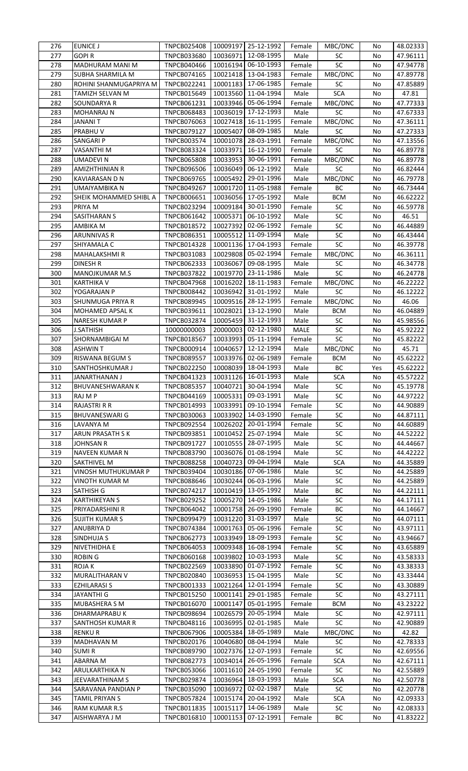| 276        | EUNICE J                       | <b>TNPCB025408</b>         |          | 10009197 25-12-1992               | Female         | MBC/DNC    | No       | 48.02333             |
|------------|--------------------------------|----------------------------|----------|-----------------------------------|----------------|------------|----------|----------------------|
| 277        | GOPI R                         | <b>TNPCB033680</b>         | 10036971 | 12-08-1995                        | Male           | SC         | No       | 47.96111             |
|            |                                |                            |          |                                   |                |            |          |                      |
| 278        | MADHURAM MANI M                | TNPCB040466                | 10016194 | 06-10-1993                        | Female         | SC         | No       | 47.94778             |
| 279        | SUBHA SHARMILA M               | TNPCB074165                |          | 10021418 13-04-1983               | Female         | MBC/DNC    | No       | 47.89778             |
| 280        | ROHINI SHANMUGAPRIYA M         | TNPCB022241                |          | 10001183 17-06-1985               | Female         | SC         | No       | 47.85889             |
| 281        | TAMIZH SELVAN M                | TNPCB015649                |          | 10013560 11-04-1994               | Male           | <b>SCA</b> | No       | 47.81                |
| 282        | SOUNDARYA R                    | TNPCB061231                |          | 10033946 05-06-1994               |                | MBC/DNC    | No       | 47.77333             |
|            |                                |                            |          |                                   | Female         |            |          |                      |
| 283        | <b>MOHANRAJ N</b>              | <b>TNPCB068483</b>         | 10036019 | 17-12-1993                        | Male           | SC         | No       | 47.67333             |
| 284        | <b>JANANI T</b>                | TNPCB076063                | 10027418 | 16-11-1995                        | Female         | MBC/DNC    | No       | 47.36111             |
| 285        | PRABHU V                       | <b>TNPCB079127</b>         | 10005407 | 08-09-1985                        | Male           | <b>SC</b>  | No       | 47.27333             |
| 286        | SANGARI P                      | TNPCB003574                | 10001078 | 28-03-1991                        | Female         | MBC/DNC    | No       | 47.13556             |
|            |                                |                            |          |                                   |                |            |          |                      |
| 287        | VASANTHI M                     | <b>TNPCB083324</b>         | 10033971 | 16-12-1990                        | Female         | SC         | No       | 46.89778             |
| 288        | <b>UMADEVIN</b>                | <b>TNPCB065808</b>         |          | 10033953 30-06-1991               | Female         | MBC/DNC    | No       | 46.89778             |
| 289        | AMIZHTHINIAN R                 | <b>TNPCB096506</b>         |          | 10036049 06-12-1992               | Male           | SC         | No       | 46.82444             |
| 290        | KAVIARASAN D N                 | <b>TNPCB069765</b>         | 10005492 | 29-01-1996                        | Male           | MBC/DNC    | No       | 46.79778             |
|            |                                |                            |          |                                   |                |            |          |                      |
| 291        | UMAIYAMBIKA N                  | <b>TNPCB049267</b>         | 10001720 | 11-05-1988                        | Female         | BC         | No       | 46.73444             |
| 292        | SHEIK MOHAMMED SHIBL A         | <b>TNPCB006651</b>         | 10036056 | 17-05-1992                        | Male           | <b>BCM</b> | No       | 46.62222             |
| 293        | PRIYA M                        | <b>TNPCB023294</b>         | 10009184 | 30-01-1990                        | Female         | SC         | No       | 46.59778             |
| 294        | SASITHARAN S                   | <b>TNPCB061642</b>         | 10005371 | 06-10-1992                        | Male           | SC         | No       | 46.51                |
|            |                                |                            |          |                                   |                |            |          |                      |
| 295        | AMBIKA M                       | <b>TNPCB018572</b>         | 10027392 | 02-06-1992                        | Female         | SC         | No       | 46.44889             |
| 296        | ARUNNIVAS R                    | TNPCB086351                | 10005512 | 11-09-1994                        | Male           | ${\sf SC}$ | No       | 46.43444             |
| 297        | SHIYAMALA C                    | TNPCB014328                |          | 10001136 17-04-1993               | Female         | SC         | No       | 46.39778             |
| 298        | MAHALAKSHMI R                  | TNPCB031083                | 10029808 | 05-02-1994                        | Female         | MBC/DNC    | No       | 46.36111             |
|            |                                |                            |          |                                   |                |            |          |                      |
| 299        | DINESH R                       | <b>TNPCB062333</b>         | 10036067 | 09-08-1995                        | Male           | SC         | No       | 46.34778             |
| 300        | MANOJKUMAR M.S                 | TNPCB037822                | 10019770 | 23-11-1986                        | Male           | SC         | No       | 46.24778             |
| 301        | <b>KARTHIKA V</b>              | <b>TNPCB047968</b>         | 10016202 | 18-11-1983                        | Female         | MBC/DNC    | No       | 46.22222             |
| 302        | YOGARAJAN P                    | <b>TNPCB008442</b>         | 10036942 | 31-01-1992                        | Male           | SC         | No       | 46.12222             |
| 303        | SHUNMUGA PRIYA R               | <b>TNPCB089945</b>         |          | 10009516 28-12-1995               | Female         | MBC/DNC    | No       | 46.06                |
|            |                                |                            |          |                                   |                |            |          |                      |
| 304        | MOHAMED APSAL K                | TNPCB039611                | 10028021 | 13-12-1990                        | Male           | <b>BCM</b> | No       | 46.04889             |
| 305        | <b>NARESH KUMAR P</b>          | <b>TNPCB032874</b>         |          | 10005459 31-12-1993               | Male           | SC         | No       | 45.98556             |
| 306        | J.SATHISH                      | 10000000003                | 20000003 | 02-12-1980                        | MALE           | ${\sf SC}$ | No       | 45.92222             |
| 307        | SHORNAMBIGAI M                 | <b>TNPCB018567</b>         | 10033993 | 05-11-1994                        | Female         | SC         | No       | 45.82222             |
|            |                                |                            |          |                                   |                |            |          |                      |
| 308        | <b>ASHWIN T</b>                | TNPCB000914                | 10040657 | 12-12-1994                        | Male           | MBC/DNC    | No       | 45.71                |
| 309        | RISWANA BEGUM S                | <b>TNPCB089557</b>         | 10033976 | 02-06-1989                        | Female         | <b>BCM</b> | No       | 45.62222             |
| 310        | SANTHOSHKUMAR J                | <b>TNPCB022250</b>         | 10008039 | 18-04-1993                        | Male           | BC         | Yes      | 45.62222             |
| 311        | JANARTHANAN J                  | TNPCB041323                | 10031126 | 16-01-1993                        | Male           | <b>SCA</b> | No       | 45.57222             |
|            |                                |                            |          |                                   |                |            |          |                      |
| 312        | <b>BHUVANESHWARAN K</b>        | <b>TNPCB085357</b>         |          | 10040721 30-04-1994               | Male           | <b>SC</b>  | No       | 45.19778             |
| 313        | RAJ M P                        | TNPCB044169                | 10005331 | 09-03-1991                        | Male           | SC         | No       | 44.97222             |
| 314        | RAJASTRI R R                   | TNPCB014993                | 10033991 | 09-10-1994                        | Female         | SC         | No       | 44.90889             |
| 315        | <b>BHUVANESWARI G</b>          | TNPCB030063                | 10033902 | 14-03-1990                        | Female         | SC         | No       | 44.87111             |
|            | LAVANYA M                      |                            |          | 20-01-1994                        |                |            |          |                      |
| 316        |                                | <b>TNPCB092554</b>         | 10026202 |                                   | Female         | SC         | No       | 44.60889             |
|            |                                |                            |          |                                   |                |            |          |                      |
| 317        | ARUN PRASATH S K               | TNPCB093851                | 10010452 | 25-07-1994                        | Male           | SC         | No       | 44.52222             |
| 318        | JOHNSAN R                      | <b>TNPCB091727</b>         | 10010555 | 28-07-1995                        | Male           | SC         | No       | 44.44667             |
|            |                                |                            |          |                                   |                |            |          |                      |
| 319        | NAVEEN KUMAR N                 | <b>TNPCB083790</b>         |          | 10036076 01-08-1994               | Male           | SC         | No       | 44.42222             |
| 320        | <b>SAKTHIVEL M</b>             | <b>TNPCB088258</b>         | 10040723 | 09-04-1994                        | Male           | <b>SCA</b> | No       | 44.35889             |
| 321        | VINOSH MUTHUKUMAR P            | <b>TNPCB039404</b>         |          | 10030186 07-06-1986               | Male           | SC         | No       | 44.25889             |
| 322        | VINOTH KUMAR M                 | <b>TNPCB088646</b>         | 10030244 | 06-03-1996                        | Male           | SC         | No       | 44.25889             |
|            |                                |                            |          | 13-05-1992                        |                |            | No       |                      |
| 323        | SATHISH G                      | <b>TNPCB074217</b>         | 10010419 |                                   | Male           | BC         |          | 44.22111             |
| 324        | <b>KARTHIKEYAN S</b>           | <b>TNPCB029252</b>         | 10005270 | 14-05-1986                        | Male           | SC         | No       | 44.17111             |
| 325        | PRIYADARSHINI R                | <b>TNPCB064042</b>         | 10001758 | 26-09-1990                        | Female         | ВC         | No       | 44.14667             |
| 326        | SUJITH KUMAR S                 | TNPCB099479                | 10031220 | 31-03-1997                        | Male           | SC         | No       | 44.07111             |
| 327        | ANUBRIYA D                     | <b>TNPCB074384</b>         | 10001763 | 05-06-1996                        | Female         | SC         | No       | 43.97111             |
|            |                                |                            |          |                                   |                |            |          |                      |
| 328        | SINDHUJA S                     | TNPCB062773                | 10033949 | 18-09-1993                        | Female         | SC         | No       | 43.94667             |
| 329        | NIVETHIDHA E                   | <b>TNPCB064053</b>         |          | 10009348 16-08-1994               | Female         | SC         | No       | 43.65889             |
| 330        | <b>ROBING</b>                  | <b>TNPCB060168</b>         | 10039802 | 10-03-1993                        | Male           | SC         | No       | 43.58333             |
| 331        | ROJA K                         | TNPCB022569                | 10033890 | 01-07-1992                        | Female         | SC         | No       | 43.38333             |
|            |                                |                            |          | 15-04-1995                        | Male           |            | No       |                      |
| 332        | MURALITHARAN V                 | TNPCB020840                | 10036953 |                                   |                | SC         |          | 43.33444             |
| 333        | <b>EZHILARASI S</b>            | TNPCB001333                | 10021264 | 12-01-1994                        | Female         | SC         | No       | 43.30889             |
| 334        | JAYANTHI G                     | <b>TNPCB015250</b>         | 10001141 | 29-01-1985                        | Female         | SC         | No       | 43.27111             |
| 335        | MUBASHERA S M                  | TNPCB016070                | 10001147 | 05-01-1995                        | Female         | <b>BCM</b> | No       | 43.23222             |
| 336        | DHARMAPRABU K                  | <b>TNPCB098694</b>         | 10026579 | 20-05-1994                        | Male           | SC         | No       | 42.97111             |
|            |                                |                            |          |                                   |                |            |          |                      |
| 337        | SANTHOSH KUMAR R               | <b>TNPCB048116</b>         | 10036995 | 02-01-1985                        | Male           | SC         | No       | 42.90889             |
| 338        | <b>RENKUR</b>                  | <b>TNPCB067906</b>         | 10005384 | 18-05-1989                        | Male           | MBC/DNC    | No       | 42.82                |
| 339        | MADHAVAN M                     | <b>TNPCB020176</b>         | 10040680 | 08-04-1994                        | Male           | <b>SC</b>  | No       | 42.78333             |
| 340        | <b>SUMIR</b>                   | <b>TNPCB089790</b>         | 10027376 | 12-07-1993                        | Female         | SC         | No       | 42.69556             |
| 341        |                                |                            | 10034014 | 26-05-1996                        |                |            | No       |                      |
|            | ABARNA M                       | <b>TNPCB082773</b>         |          |                                   | Female         | <b>SCA</b> |          | 42.67111             |
| 342        | ARULKARTHIKA N                 | <b>TNPCB053066</b>         | 10011610 | 24-05-1990                        | Female         | SC         | No       | 42.55889             |
| 343        | JEEVARATHINAM S                | <b>TNPCB029874</b>         | 10036964 | 18-03-1993                        | Male           | <b>SCA</b> | No       | 42.50778             |
| 344        | SARAVANA PANDIAN P             | <b>TNPCB035090</b>         | 10036972 | 02-02-1987                        | Male           | <b>SC</b>  | No       | 42.20778             |
| 345        | <b>TAMIL PRIYAN S</b>          | <b>TNPCB057824</b>         | 10015174 | 20-04-1992                        | Male           | <b>SCA</b> | No       | 42.09333             |
|            |                                |                            |          |                                   |                |            |          |                      |
| 346<br>347 | RAM KUMAR R.S<br>AISHWARYA J M | TNPCB011835<br>TNPCB016810 | 10015117 | 14-06-1989<br>10001153 07-12-1991 | Male<br>Female | SC<br>ВC   | No<br>No | 42.08333<br>41.83222 |